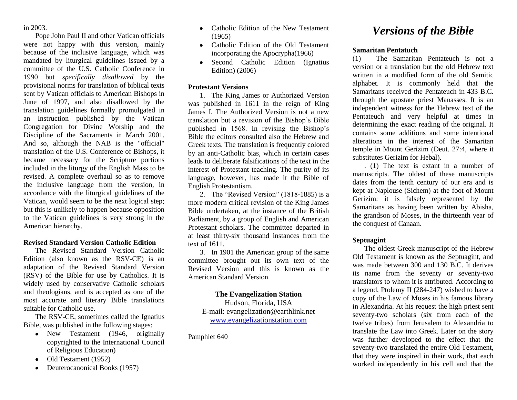in 2003.

Pope John Paul II and other Vatican officials were not happy with this version, mainly because of the inclusive language, which was mandated by liturgical guidelines issued by a committee of the U.S. Catholic Conference in 1990 but *specifically disallowed* by the provisional norms for translation of biblical texts sent by Vatican officials to American Bishops in June of 1997, and also disallowed by the translation guidelines formally promulgated in an Instruction published by the Vatican Congregation for Divine Worship and the Discipline of the Sacraments in March 2001. And so, although the NAB is the "official" translation of the U.S. Conference of Bishops, it became necessary for the Scripture portions included in the liturgy of the English Mass to be revised. A complete overhaul so as to remove the inclusive language from the version, in accordance with the liturgical guidelines of the Vatican, would seem to be the next logical step; but this is unlikely to happen because opposition to the Vatican guidelines is very strong in the American hierarchy.

# **Revised Standard Version Catholic Edition**

The Revised Standard Version Catholic Edition (also known as the RSV-CE) is an adaptation of the Revised Standard Version (RSV) of the Bible for use by Catholics. It is widely used by conservative Catholic scholars and theologians, and is accepted as one of the most accurate and literary Bible translations suitable for Catholic use.

The RSV-CE, sometimes called the Ignatius Bible, was published in the following stages:

- New Testament (1946, originally copyrighted to the International Council of Religious Education)
- Old Testament (1952)
- Deuterocanonical Books (1957)
- Catholic Edition of the New Testament (1965)
- Catholic Edition of the Old Testament incorporating the Apocrypha(1966)
- Second Catholic Edition (Ignatius Edition) (2006)

# **Protestant Versions**

1. The King James or Authorized Version was published in 1611 in the reign of King James I. The Authorized Version is not a new translation but a revision of the Bishop's Bible published in 1568. In revising the Bishop's Bible the editors consulted also the Hebrew and Greek texts. The translation is frequently colored by an anti-Catholic bias, which in certain cases leads to deliberate falsifications of the text in the interest of Protestant teaching. The purity of its language, however, has made it the Bible of English Protestantism.

2. The "Revised Version" (1818-1885) is a more modern critical revision of the King James Bible undertaken, at the instance of the British Parliament, by a group of English and American Protestant scholars. The committee departed in at least thirty-six thousand instances from the text of 1611.

3. In 1901 the American group of the same committee brought out its own text of the Revised Version and this is known as the American Standard Version.

**The Evangelization Station** Hudson, Florida, USA E-mail: evangelization@earthlink.net [www.evangelizationstation.com](http://www.pjpiisoe.org/)

Pamphlet 640

# *Versions of the Bible*

## **Samaritan Pentatuch**

(1) The Samaritan Pentateuch is not a version or a translation but the old Hebrew text written in a modified form of the old Semitic alphabet. It is commonly held that the Samaritans received the Pentateuch in 433 B.C. through the apostate priest Manasses. It is an independent witness for the Hebrew text of the Pentateuch and very helpful at times in determining the exact reading of the original. It contains some additions and some intentional alterations in the interest of the Samaritan temple in Mount Gerizim (Deut. 27:4, where it substitutes Gerizim for Hebal).

. (1) The text is extant in a number of manuscripts. The oldest of these manuscripts dates from the tenth century of our era and is kept at Naplouse (Sichem) at the foot of Mount Gerizim: it is falsely represented by the Samaritans as having been written by Abisha, the grandson of Moses, in the thirteenth year of the conquest of Canaan.

# **Septuagint**

The oldest Greek manuscript of the Hebrew Old Testament is known as the Septuagint, and was made between 300 and 130 B.C. It derives its name from the seventy or seventy-two translators to whom it is attributed. According to a legend, Ptolemy II (284-247) wished to have a copy of the Law of Moses in his famous library in Alexandria. At his request the high priest sent seventy-two scholars (six from each of the twelve tribes) from Jerusalem to Alexandria to translate the Law into Greek. Later on the story was further developed to the effect that the seventy-two translated the entire Old Testament, that they were inspired in their work, that each worked independently in his cell and that the